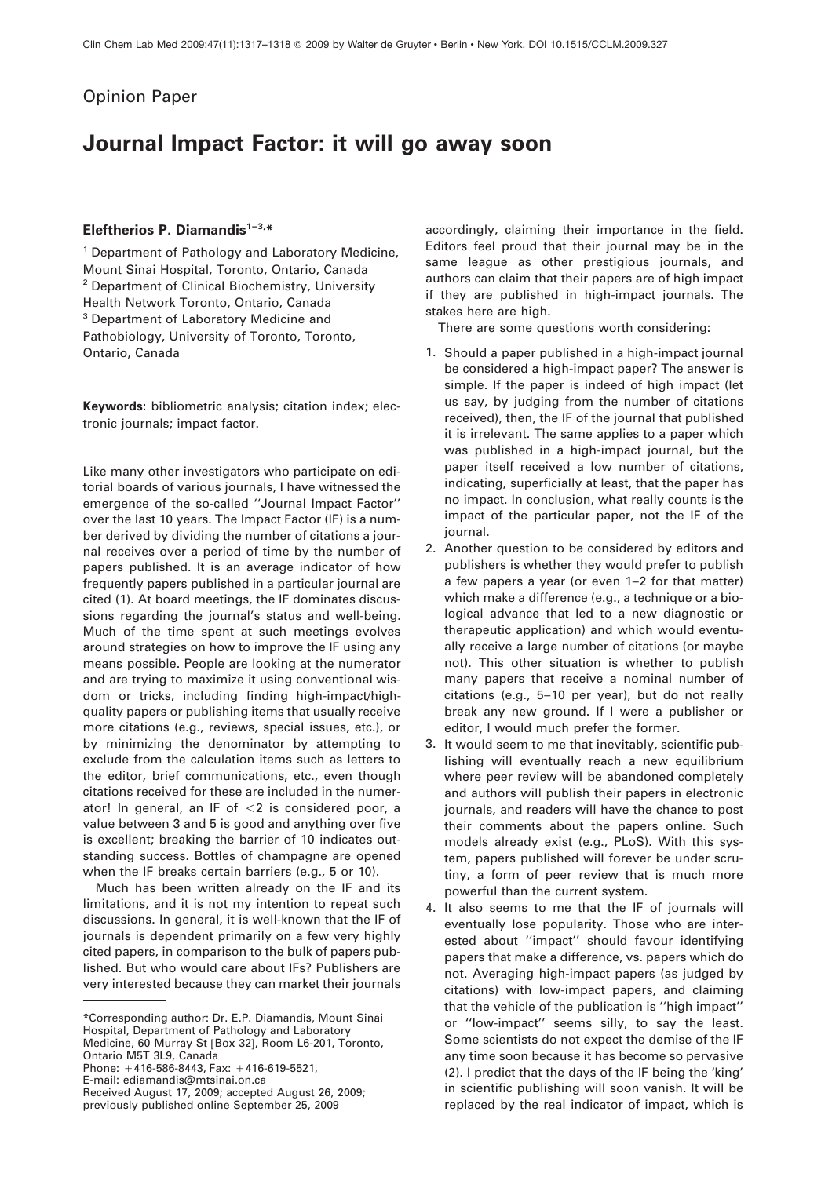## Opinion Paper

## **Journal Impact Factor: it will go away soon**

## **Eleftherios P. Diamandis1–3,\***

<sup>1</sup> Department of Pathology and Laboratory Medicine, Mount Sinai Hospital, Toronto, Ontario, Canada <sup>2</sup> Department of Clinical Biochemistry, University Health Network Toronto, Ontario, Canada <sup>3</sup> Department of Laboratory Medicine and Pathobiology, University of Toronto, Toronto, Ontario, Canada

**Keywords:** bibliometric analysis; citation index; electronic journals; impact factor.

Like many other investigators who participate on editorial boards of various journals, I have witnessed the emergence of the so-called ''Journal Impact Factor'' over the last 10 years. The Impact Factor (IF) is a number derived by dividing the number of citations a journal receives over a period of time by the number of papers published. It is an average indicator of how frequently papers published in a particular journal are cited (1). At board meetings, the IF dominates discussions regarding the journal's status and well-being. Much of the time spent at such meetings evolves around strategies on how to improve the IF using any means possible. People are looking at the numerator and are trying to maximize it using conventional wisdom or tricks, including finding high-impact/highquality papers or publishing items that usually receive more citations (e.g., reviews, special issues, etc.), or by minimizing the denominator by attempting to exclude from the calculation items such as letters to the editor, brief communications, etc., even though citations received for these are included in the numerator! In general, an IF of  $\leq$  2 is considered poor, a value between 3 and 5 is good and anything over five is excellent; breaking the barrier of 10 indicates outstanding success. Bottles of champagne are opened when the IF breaks certain barriers (e.g., 5 or 10).

Much has been written already on the IF and its limitations, and it is not my intention to repeat such discussions. In general, it is well-known that the IF of journals is dependent primarily on a few very highly cited papers, in comparison to the bulk of papers published. But who would care about IFs? Publishers are very interested because they can market their journals

Ontario M5T 3L9, Canada Phone:  $+416-586-8443$ , Fax:  $+416-619-5521$ ,

accordingly, claiming their importance in the field. Editors feel proud that their journal may be in the same league as other prestigious journals, and authors can claim that their papers are of high impact if they are published in high-impact journals. The stakes here are high.

There are some questions worth considering:

- 1. Should a paper published in a high-impact journal be considered a high-impact paper? The answer is simple. If the paper is indeed of high impact (let us say, by judging from the number of citations received), then, the IF of the journal that published it is irrelevant. The same applies to a paper which was published in a high-impact journal, but the paper itself received a low number of citations, indicating, superficially at least, that the paper has no impact. In conclusion, what really counts is the impact of the particular paper, not the IF of the journal.
- 2. Another question to be considered by editors and publishers is whether they would prefer to publish a few papers a year (or even 1–2 for that matter) which make a difference (e.g., a technique or a biological advance that led to a new diagnostic or therapeutic application) and which would eventually receive a large number of citations (or maybe not). This other situation is whether to publish many papers that receive a nominal number of citations (e.g., 5–10 per year), but do not really break any new ground. If I were a publisher or editor, I would much prefer the former.
- 3. It would seem to me that inevitably, scientific publishing will eventually reach a new equilibrium where peer review will be abandoned completely and authors will publish their papers in electronic journals, and readers will have the chance to post their comments about the papers online. Such models already exist (e.g., PLoS). With this system, papers published will forever be under scrutiny, a form of peer review that is much more powerful than the current system.
- 4. It also seems to me that the IF of journals will eventually lose popularity. Those who are interested about ''impact'' should favour identifying papers that make a difference, vs. papers which do not. Averaging high-impact papers (as judged by citations) with low-impact papers, and claiming that the vehicle of the publication is ''high impact'' or ''low-impact'' seems silly, to say the least. Some scientists do not expect the demise of the IF any time soon because it has become so pervasive (2). I predict that the days of the IF being the 'king' in scientific publishing will soon vanish. It will be replaced by the real indicator of impact, which is

<sup>\*</sup>Corresponding author: Dr. E.P. Diamandis, Mount Sinai Hospital, Department of Pathology and Laboratory Medicine, 60 Murray St [Box 32], Room L6-201, Toronto,

E-mail: ediamandis@mtsinai.on.ca

Received August 17, 2009; accepted August 26, 2009; previously published online September 25, 2009